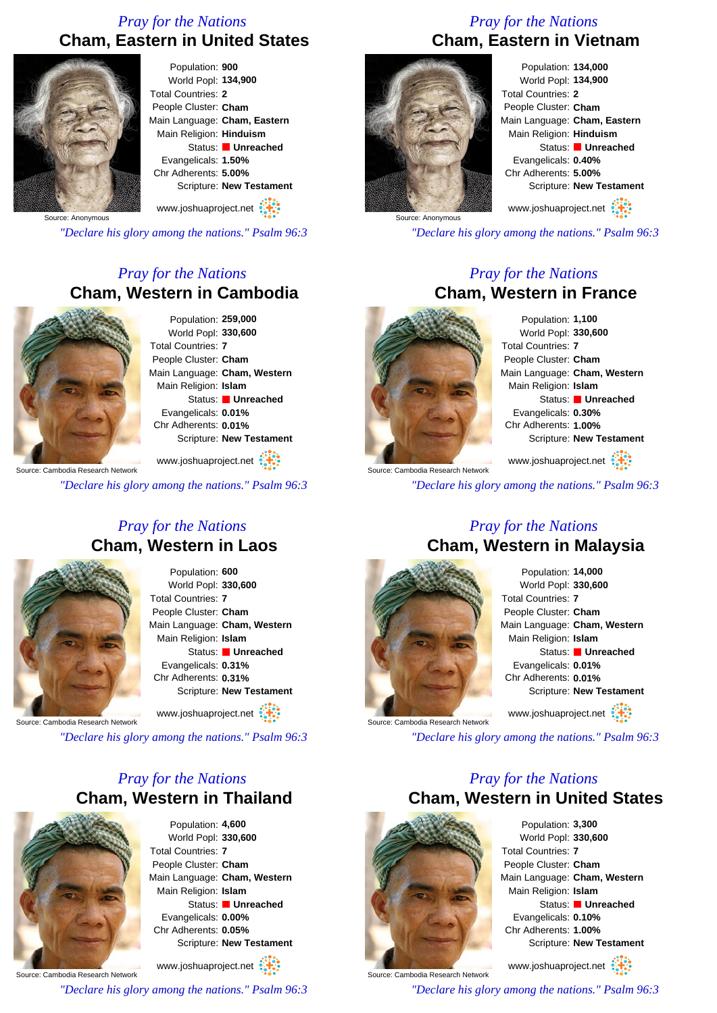## *Pray for the Nations* **Cham, Eastern in United States**



Population: **900** World Popl: **134,900** Total Countries: **2** People Cluster: **Cham** Main Language: **Cham, Eastern** Main Religion: **Hinduism** Status: **Unreached** Evangelicals: **1.50%** Chr Adherents: **5.00%** Scripture: **New Testament**

www.joshuaproject.net

*"Declare his glory among the nations." Psalm 96:3*

### *Pray for the Nations* **Cham, Western in Cambodia**



Population: **259,000** World Popl: **330,600** Total Countries: **7** People Cluster: **Cham** Main Language: **Cham, Western** Main Religion: **Islam** Status: **Unreached** Evangelicals: **0.01%** Chr Adherents: **0.01%** Scripture: **New Testament**

The: Cambodia Research Network www.joshuaproject.net

*"Declare his glory among the nations." Psalm 96:3*

#### *Pray for the Nations* **Cham, Western in Laos**



Population: **600** World Popl: **330,600** Total Countries: **7** People Cluster: **Cham** Main Language: **Cham, Western** Main Religion: **Islam** Status: **Unreached** Evangelicals: **0.31%** Chr Adherents: **0.31%** Scripture: **New Testament**

www.joshuaproject.net

Source: Cambodia Research Network

*"Declare his glory among the nations." Psalm 96:3*

## *Pray for the Nations* **Cham, Western in Thailand**



Population: **4,600** World Popl: **330,600** Total Countries: **7** People Cluster: **Cham** Main Language: **Cham, Western** Main Religion: **Islam** Status: **Unreached** Evangelicals: **0.00%** Chr Adherents: **0.05%** Scripture: **New Testament**

Source: Cambodia Research Network www.joshuaproject.net

*"Declare his glory among the nations." Psalm 96:3*

# *Pray for the Nations* **Cham, Eastern in Vietnam**



Population: **134,000** World Popl: **134,900** Total Countries: **2** People Cluster: **Cham** Main Language: **Cham, Eastern** Main Religion: **Hinduism** Status: **Unreached** Evangelicals: **0.40%** Chr Adherents: **5.00%** Scripture: **New Testament**

www.joshuaproject.net

*"Declare his glory among the nations." Psalm 96:3*

#### *Pray for the Nations* **Cham, Western in France**



**Source: Cambodia Research Network** 

Population: **1,100** World Popl: **330,600** Total Countries: **7** People Cluster: **Cham** Main Language: **Cham, Western** Main Religion: **Islam** Status: **Unreached** Evangelicals: **0.30%** Chr Adherents: **1.00%** Scripture: **New Testament**

www.joshuaproject.net

*"Declare his glory among the nations." Psalm 96:3*

#### *Pray for the Nations* **Cham, Western in Malaysia**



Population: **14,000** World Popl: **330,600** Total Countries: **7** People Cluster: **Cham** Main Language: **Cham, Western** Main Religion: **Islam** Status: **Unreached** Evangelicals: **0.01%** Chr Adherents: **0.01%** Scripture: **New Testament** www.joshuaproject.net

*"Declare his glory among the nations." Psalm 96:3*

### *Pray for the Nations* **Cham, Western in United States**



Population: **3,300** World Popl: **330,600** Total Countries: **7** People Cluster: **Cham** Main Language: **Cham, Western** Main Religion: **Islam** Status: **Unreached** Evangelicals: **0.10%** Chr Adherents: **1.00%** Scripture: **New Testament**

www.joshuaproject.net

*"Declare his glory among the nations." Psalm 96:3*